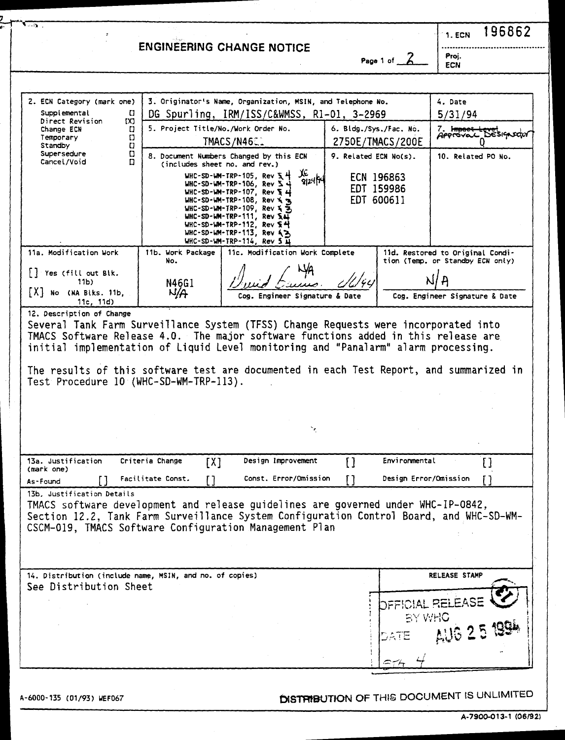|                                                                                                                                                                                                                                                                      |                                     | <b>ENGINEERING CHANGE NOTICE</b>                                                                                                                                                                                                                                                                                                                                     |                        |                                        | 1. ECN                         | 196862               |
|----------------------------------------------------------------------------------------------------------------------------------------------------------------------------------------------------------------------------------------------------------------------|-------------------------------------|----------------------------------------------------------------------------------------------------------------------------------------------------------------------------------------------------------------------------------------------------------------------------------------------------------------------------------------------------------------------|------------------------|----------------------------------------|--------------------------------|----------------------|
|                                                                                                                                                                                                                                                                      |                                     |                                                                                                                                                                                                                                                                                                                                                                      |                        | Page 1 of                              | Proj.<br><b>ECN</b>            |                      |
|                                                                                                                                                                                                                                                                      |                                     |                                                                                                                                                                                                                                                                                                                                                                      |                        |                                        |                                |                      |
| 2. ECN Category (mark one)                                                                                                                                                                                                                                           |                                     | 3. Originator's Name, Organization, MSIN, and Telephone No.                                                                                                                                                                                                                                                                                                          |                        |                                        | 4. Date                        |                      |
| Supplemental<br>IJ<br>Direct Revision<br>IX)                                                                                                                                                                                                                         |                                     | DG Spurling, IRM/ISS/C&WMSS, R1-01, 3-2969                                                                                                                                                                                                                                                                                                                           |                        |                                        | 5/31/94                        |                      |
| Change ECN<br>IJ                                                                                                                                                                                                                                                     | 5. Project Title/No./Work Order No. |                                                                                                                                                                                                                                                                                                                                                                      | 6. Bidg./Sys./Fac. No. |                                        | 7. Impact te                   | Approvac Designation |
| Ð<br>Temporary<br>$\mathbf{C}$<br>Standby                                                                                                                                                                                                                            |                                     | TMACS/N4601                                                                                                                                                                                                                                                                                                                                                          |                        | 2750E/TMACS/200E                       |                                |                      |
| Supersedure<br>o<br>Cancel/Void<br>n                                                                                                                                                                                                                                 | (includes sheet no, and rev.)       | 8. Document Numbers Changed by this ECN                                                                                                                                                                                                                                                                                                                              | 9. Related ECN No(s).  |                                        | 10. Related PO No.             |                      |
|                                                                                                                                                                                                                                                                      |                                     | JE<br>WHC-SD-WM-TRP-105, Rev $54$<br>912414<br>$WHC-SD-WM-TRP-106$ , Rev $\Sigma \rightarrow$<br>WHC-SD-WM-TRP-107, Rev $\S$ 4<br>WHC-SD-WM-TRP-108, Rev X 3<br>$WHC-SD-WM-TRP-109$ , Rev $\leq \leq$<br>WHC-SD-WM-TRP-111, Rev $\overline{M}$<br>$WHC-SD-WM-TRP-112$ , Rev $S$ $H$<br>WHC-SD-WM-TRP-113, Rev 43<br>WHC-SD-WM-TRP-114, Rev 5 $\overline{\mathbf{u}}$ |                        | ECN 196863<br>EDT 159986<br>EDT 600611 |                                |                      |
| 11a. Modification Work                                                                                                                                                                                                                                               | 11b. Work Package                   | 11c. Modification Work Complete                                                                                                                                                                                                                                                                                                                                      |                        | 11d. Restored to Original Condi-       |                                |                      |
| Yes (fill out Blk.                                                                                                                                                                                                                                                   | No.                                 |                                                                                                                                                                                                                                                                                                                                                                      |                        | tion (Temp. or Standby ECN only)       |                                |                      |
| 11Ь).                                                                                                                                                                                                                                                                | N46G1                               |                                                                                                                                                                                                                                                                                                                                                                      |                        |                                        |                                |                      |
| X  No (NA Biks. 11b,<br>11c, 11d                                                                                                                                                                                                                                     | N/A                                 | Cog. Engineer Signature & Date                                                                                                                                                                                                                                                                                                                                       |                        |                                        | Cog. Engineer Signature & Date |                      |
| TMACS Software Release 4.0. The major software functions added in this release are<br>initial implementation of Liquid Level monitoring and "Panalarm" alarm processing.<br>The results of this software test are documented in each Test Report, and summarized in  |                                     | Several Tank Farm Surveillance System (TFSS) Change Requests were incorporated into                                                                                                                                                                                                                                                                                  |                        |                                        |                                |                      |
| Test Procedure 10 (WHC-SD-WM-TRP-113).                                                                                                                                                                                                                               |                                     |                                                                                                                                                                                                                                                                                                                                                                      |                        |                                        |                                |                      |
|                                                                                                                                                                                                                                                                      |                                     |                                                                                                                                                                                                                                                                                                                                                                      |                        |                                        |                                |                      |
|                                                                                                                                                                                                                                                                      |                                     |                                                                                                                                                                                                                                                                                                                                                                      |                        |                                        |                                |                      |
|                                                                                                                                                                                                                                                                      |                                     |                                                                                                                                                                                                                                                                                                                                                                      |                        |                                        |                                |                      |
| 13a. Justification                                                                                                                                                                                                                                                   | Criteria Change<br>[X]              | Design Improvement                                                                                                                                                                                                                                                                                                                                                   | []                     | Environmental                          |                                | []                   |
| (mark one)<br>As-Found                                                                                                                                                                                                                                               | Facilitate Const.                   | Const, Error/Omission                                                                                                                                                                                                                                                                                                                                                | ٢٦                     | Design Error/Omission                  |                                |                      |
| 13b. Justification Details<br>TMACS software development and release guidelines are governed under WHC-IP-0842,<br>Section 12.2, Tank Farm Surveillance System Configuration Control Board, and WHC-SD-WM-<br>CSCM-019, TMACS Software Configuration Management Plan |                                     |                                                                                                                                                                                                                                                                                                                                                                      |                        |                                        |                                |                      |
| 14. Distribution (include name, MSIN, and no. of copies)                                                                                                                                                                                                             |                                     |                                                                                                                                                                                                                                                                                                                                                                      |                        |                                        | RELEASE STAMP                  |                      |
| See Distribution Sheet                                                                                                                                                                                                                                               |                                     |                                                                                                                                                                                                                                                                                                                                                                      |                        |                                        |                                |                      |
|                                                                                                                                                                                                                                                                      |                                     |                                                                                                                                                                                                                                                                                                                                                                      |                        |                                        |                                |                      |
|                                                                                                                                                                                                                                                                      |                                     |                                                                                                                                                                                                                                                                                                                                                                      |                        | <b>DFFICIAL RELEASE</b><br>BY WHO      |                                |                      |
|                                                                                                                                                                                                                                                                      |                                     |                                                                                                                                                                                                                                                                                                                                                                      |                        |                                        |                                |                      |
|                                                                                                                                                                                                                                                                      |                                     |                                                                                                                                                                                                                                                                                                                                                                      |                        |                                        | AUG 25 199                     |                      |

A-6000-135 (01/93) WEF067 **EWSTER STRIBUTION OF THIS DOCUMENT IS UNLIMITED**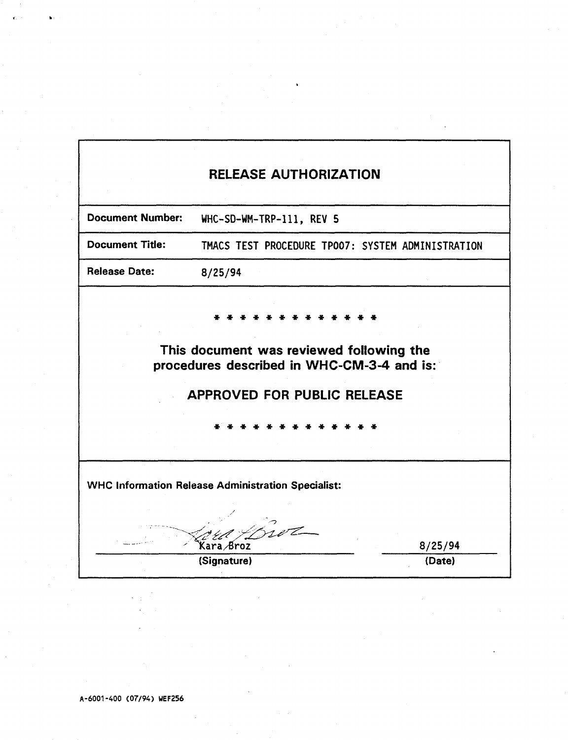|                         | <b>RELEASE AUTHORIZATION</b>                                                                                                 |         |
|-------------------------|------------------------------------------------------------------------------------------------------------------------------|---------|
| <b>Document Number:</b> | WHC-SD-WM-TRP-111, REV 5                                                                                                     |         |
| <b>Document Title:</b>  | TMACS TEST PROCEDURE TPO07: SYSTEM ADMINISTRATION                                                                            |         |
| <b>Release Date:</b>    | 8/25/94                                                                                                                      |         |
|                         | This document was reviewed following the<br>procedures described in WHC-CM-3-4 and is:<br><b>APPROVED FOR PUBLIC RELEASE</b> |         |
|                         | <b>WHC Information Release Administration Specialist:</b><br>Kara Broz                                                       | 8/25/94 |
|                         | (Signature)                                                                                                                  | (Date)  |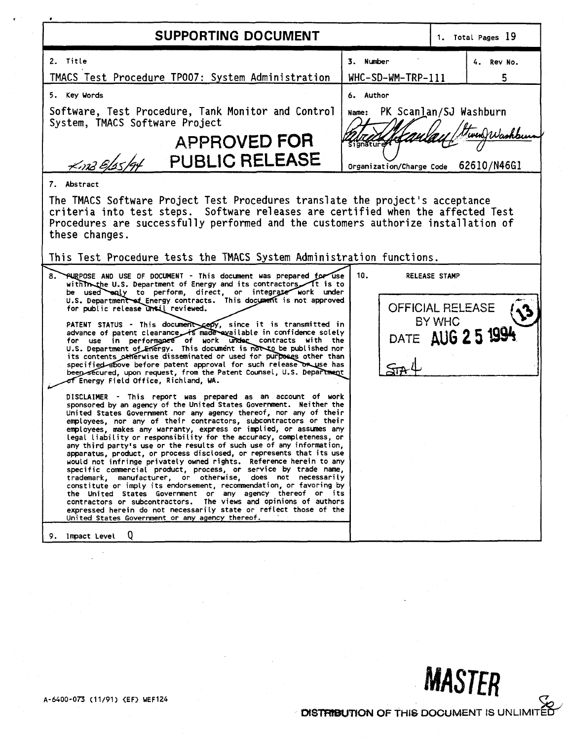| 2. Title<br>TMACS Test Procedure TP007: System Administration<br>5. Key Words<br>Software, Test Procedure, Tank Monitor and Control<br>System, TMACS Software Project<br>APPROVED FOR<br>$\frac{1}{2}$ PUBLIC RELEASE                                                                                                                                                                                                                                                                                                                                                                                                                                                                                                                                                                                                                                                                                                                                                                                                                                                                                                                                                                                                                                                                                                                                                                                                                                                                                                                                                                                                                                                                                                                                                                                                                                                                                                                                                                                                                                                                                                                                                                                                                                                                                                                         | 3. Number<br>$WHC-SD-WM-TRP-111$<br>6. Author<br>Name: PK Scanlan/SJ Washburn<br>Signature<br>Organization/Charge Code |                                | 4. Rev No.<br>5<br>62610/N46G1 |
|-----------------------------------------------------------------------------------------------------------------------------------------------------------------------------------------------------------------------------------------------------------------------------------------------------------------------------------------------------------------------------------------------------------------------------------------------------------------------------------------------------------------------------------------------------------------------------------------------------------------------------------------------------------------------------------------------------------------------------------------------------------------------------------------------------------------------------------------------------------------------------------------------------------------------------------------------------------------------------------------------------------------------------------------------------------------------------------------------------------------------------------------------------------------------------------------------------------------------------------------------------------------------------------------------------------------------------------------------------------------------------------------------------------------------------------------------------------------------------------------------------------------------------------------------------------------------------------------------------------------------------------------------------------------------------------------------------------------------------------------------------------------------------------------------------------------------------------------------------------------------------------------------------------------------------------------------------------------------------------------------------------------------------------------------------------------------------------------------------------------------------------------------------------------------------------------------------------------------------------------------------------------------------------------------------------------------------------------------|------------------------------------------------------------------------------------------------------------------------|--------------------------------|--------------------------------|
| 7. Abstract<br>The TMACS Software Project Test Procedures translate the project's acceptance<br>criteria into test steps. Software releases are certified when the affected Test<br>Procedures are successfully performed and the customers authorize installation of<br>these changes.<br>This Test Procedure tests the TMACS System Administration functions.<br>8. PURPOSE AND USE OF DOCUMENT - This document was prepared for use<br>with the U.S. Department of Energy and its contractors It is to<br>be used enly to perform, direct, or integrate work under<br>U.S. Department of Energy contracts. This document is not approved<br>for public release unsil reviewed.<br>PATENT STATUS - This document copy, since it is transmitted in<br>advance of patent clearance is made exailable in confidence solely<br>for use in performance of work under contracts with the<br>U.S. Department of Energy. This document is not to be published nor<br>its contents otherwise disseminated or used for purposes other than<br>specified above before patent approval for such release on use has<br>beep secured, upon request, from the Patent Counsel, U.S. Department<br>of Energy Field Office, Richland, WA.<br>DISCLAIMER - This report was prepared as an account of work<br>sponsored by an agency of the United States Government. Neither the<br>United States Government nor any agency thereof, nor any of their<br>employees, nor any of their contractors, subcontractors or their<br>employees, makes any warranty, express or implied, or assumes any<br>legal liability or responsibility for the accuracy, completeness, or<br>any third party's use or the results of such use of any information,<br>apparatus, product, or process disclosed, or represents that its use<br>would not infringe privately owned rights. Reference herein to any<br>specific commercial product, process, or service by trade name,<br>trademark, manufacturer, or otherwise, does not necessarily<br>constitute or imply its endorsement, recommendation, or favoring by<br>the United States Government or any agency thereof or its<br>contractors or subcontractors. The views and opinions of authors<br>expressed herein do not necessarily state or reflect those of the<br>United States Government or any agency thereof. | 10.<br><b>OFFICIAL RELEASE</b>                                                                                         | <b>RELEASE STAMP</b><br>BY WHC | DATE AUG 2 5 1994              |

**A-6400-073 (11/91) <EF> WEF124** 

DISTRIBUTION OF THIS DOCUMENT IS UNLIMITED

**MASTER**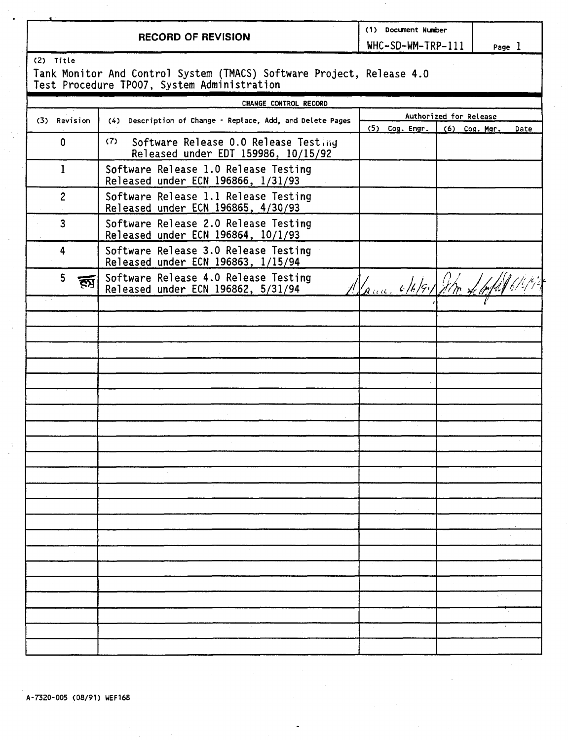**RECORD OF REVISION** 

WHC-SD-WM-TRP-111 | Page 1

(2) Title

i

Tank Monitor And Control System (TMACS) Software Project, Release 4.0 Test Procedure TP007, System Administration

|                         | CHANGE CONTROL RECORD                                                              |                        |                                |  |
|-------------------------|------------------------------------------------------------------------------------|------------------------|--------------------------------|--|
|                         |                                                                                    | Authorized for Release |                                |  |
| (3) Revision            | (4) Description of Change - Replace, Add, and Delete Pages                         | $(5)$ Cog. Engr.       | (6) Cog. Mgr.<br>Date          |  |
| $\mathbf 0$             | Software Release 0.0 Release Testing<br>(7)<br>Released under EDT 159986, 10/15/92 |                        |                                |  |
| $\mathbf 1$             | Software Release 1.0 Release Testing<br>Released under ECN 196866, 1/31/93         |                        |                                |  |
| $\overline{2}$          | Software Release 1.1 Release Testing<br>Released under ECN 196865, 4/30/93         |                        |                                |  |
| $\overline{\mathbf{3}}$ | Software Release 2.0 Release Testing<br>Released under ECN 196864, 10/1/93         |                        |                                |  |
| 4                       | Software Release 3.0 Release Testing<br>Released under ECN 196863, 1/15/94         |                        |                                |  |
| 5<br>ŖЗ                 | Software Release 4.0 Release Testing<br>Released under ECN 196862, 5/31/94         |                        | Marine 6/6/91 John Left 6/6/92 |  |
|                         |                                                                                    |                        |                                |  |
|                         |                                                                                    |                        |                                |  |
|                         |                                                                                    |                        |                                |  |
|                         |                                                                                    |                        |                                |  |
|                         |                                                                                    |                        |                                |  |
|                         |                                                                                    |                        |                                |  |
|                         |                                                                                    |                        |                                |  |
|                         |                                                                                    |                        |                                |  |
|                         |                                                                                    |                        |                                |  |
|                         |                                                                                    |                        |                                |  |
|                         |                                                                                    |                        |                                |  |
|                         |                                                                                    |                        |                                |  |
|                         |                                                                                    |                        |                                |  |
|                         |                                                                                    |                        |                                |  |
|                         |                                                                                    |                        |                                |  |
|                         |                                                                                    |                        |                                |  |
|                         |                                                                                    |                        |                                |  |
|                         |                                                                                    |                        |                                |  |
|                         |                                                                                    |                        |                                |  |
|                         |                                                                                    |                        | K Tigo                         |  |
|                         |                                                                                    |                        |                                |  |
|                         |                                                                                    |                        |                                |  |
|                         |                                                                                    |                        |                                |  |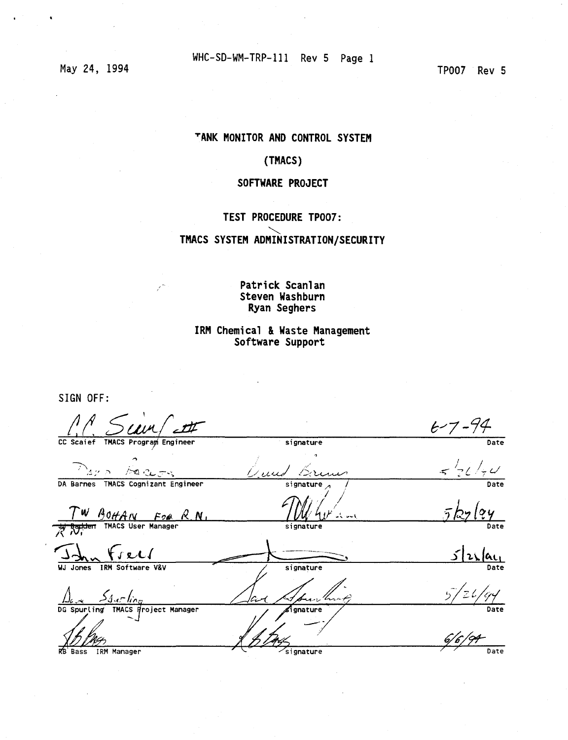May 24, 1994

TP007 Rev 5

### **<sup>T</sup> ANK MONITOR AND CONTROL SYSTEM**

### **(TMACS)**

### **SOFTWARE PROJECT**

### **TEST PROCEDURE TP007:**

### **TMACS SYSTEM ADMINISTRATION/SECURITY**

### Patrick Scanlan **Steven Washburn Ryan Seghers**

### **IRM Chemical & Waste Management Software Support**

SIGN OFF: */!/. Zu^f^r k-7-%*  CC Scaief TMACS Program Engineer **^ /»Q C/L- — < signature**  *O.i^uJ />*  signature *^ /*   $E - 7 - 94$  $\frac{1}{5}$   $\frac{1}{2}$   $\frac{1}{7}$   $\frac{1}{7}$ **DA Barnes TMACS Cognizant Engineer**  *I* **W** *M*<sub>0</sub>*HAN For K.N*, *I M*<sup>2</sup> signature signature *A N*<sup>2</sup> *M*<sup>2</sup> dv <sup>3</sup> signature Date *jkyh*  **' X ^ f/^i/ ->** *\1\*  Date <u>lac</u> **WJ Jones IRM Software V&V**  *A<sub>4</sub> --<i>A<sub>4</sub> r line*<br> *G* Spurling TMACS *d*roje **signature Date**   $\frac{b}{c}$ **<sup>2</sup> W <sup>&</sup>gt; DG Spurting" TMACS Broject Manager Date**  *&r/9f-***Bass IRM Manager** Date *Deterministics Construction**Date Date*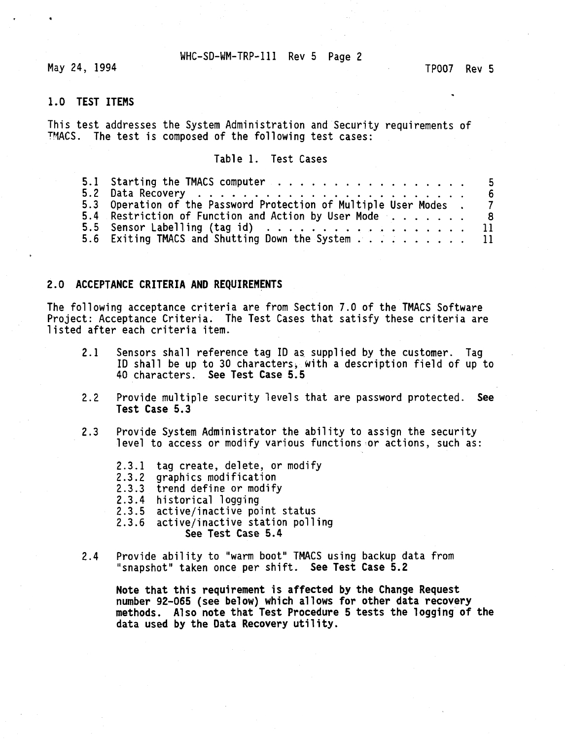May 24, 1994 **TP007** Rev 5

### **1.0 TEST ITEMS**

This test addresses the System Administration and Security requirements of TMACS. The test is composed of the following test cases:

### Table 1. Test Cases

|                                                                  | b. |
|------------------------------------------------------------------|----|
| 5.3 Operation of the Password Protection of Multiple User Modes. |    |
| 5.4 Restriction of Function and Action by User Mode 8            |    |
| 5.5 Sensor Labelling (tag id) $\ldots$ 11                        |    |
| 5.6 Exiting TMACS and Shutting Down the System 11                |    |

#### **2.0 ACCEPTANCE CRITERIA AND REQUIREMENTS**

The following acceptance criteria are from Section 7.0 of the TMACS Software Project: Acceptance Criteria. The Test Cases that satisfy these criteria are listed after each criteria item.

- 2.1 Sensors shall reference tag ID as supplied by the customer. Tag ID shall be up to 30 characters, with a description field of up to 40 characters. **See Test Case 5.5**
- 2.2 Provide multiple security levels that are password protected. **See Test Case 5.3**
- 2.3 Provide System Administrator the ability to assign the security level to access or modify various functions or actions, such as:
	- 2.3.1 tag create, delete, or modify
	- 2.3.2 graphics modification
	- 2.3.3 trend define or modify
	- 2.3.4 historical logging
	- 2.3.5 active/inactive point status
	- 2.3.6 active/inactive station polling
		- **See Test Case 5.4**
- 2.4 Provide ability to "warm boot" TMACS using backup data from "snapshot" taken once per shift. **See Test Case 5.2**

**Note that this requirement is affected by the Change Request number 92-065 (see below) which allows for other data recovery methods. Also note that Test Procedure 5 tests the logging of the data used by the Data Recovery utility.**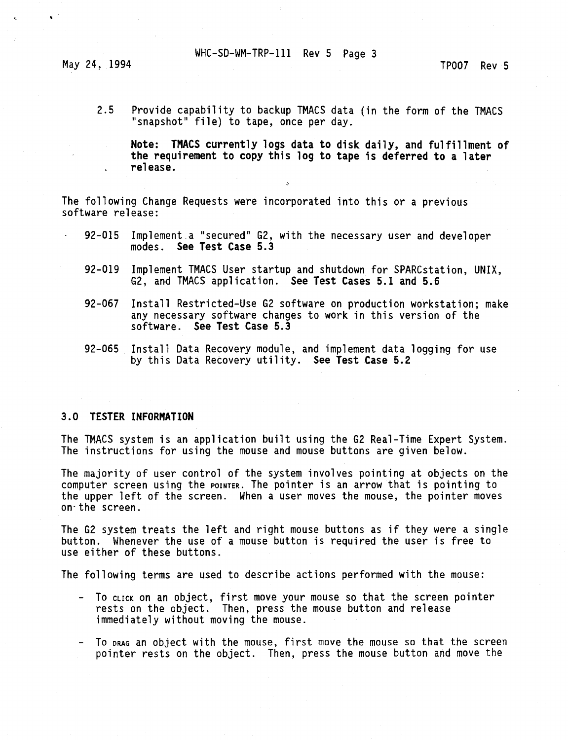May 24, 1994 **TP007** Rev 5

2.5 Provide capability to backup TMACS data (in the form of the TMACS "snapshot" file) to tape, once per day.

**Note: TMACS currently logs data to disk daily, and fulfillment of the requirement to copy this log to tape is deferred to a later release.** 

The following Change Requests were incorporated into this or a previous software release:

- 92-015 Implement.a "secured" G2, with the necessary user and developer modes. **See Test Case 5.3**
- 92-019 Implement TMACS User startup and shutdown for SPARCstation, UNIX, G2, and TMACS application. **See Test Cases 5.1 and 5.6**
- 92-067 Install Restricted-Use G2 software on production workstation; make any necessary software changes to work in this version of the software. **See Test Case 5.3**
- 92-065 Install Data Recovery module, and implement data logging for use by this Data Recovery utility. **See Test Case 5.2**

#### **3.0 TESTER INFORMATION**

The TMACS system is an application built using the G2 Real-Time Expert System. The instructions for using the mouse and mouse buttons are given below.

The majority of user control of the system involves pointing at objects on the computer screen using the POINTER. The pointer is an arrow that is pointing to the upper left of the screen. When a user moves the mouse, the pointer moves on-the screen.

The G2 system treats the left and right mouse buttons as if they were a single button. Whenever the use of a mouse button is required the user is free to use either of these buttons.

The following terms are used to describe actions performed with the mouse:

- To click on an object, first move your mouse so that the screen pointer rests on the object. Then, press the mouse button and release immediately without moving the mouse.
- To DRAG an object with the mouse, first move the mouse so that the screen pointer rests on the object. Then, press the mouse button and move the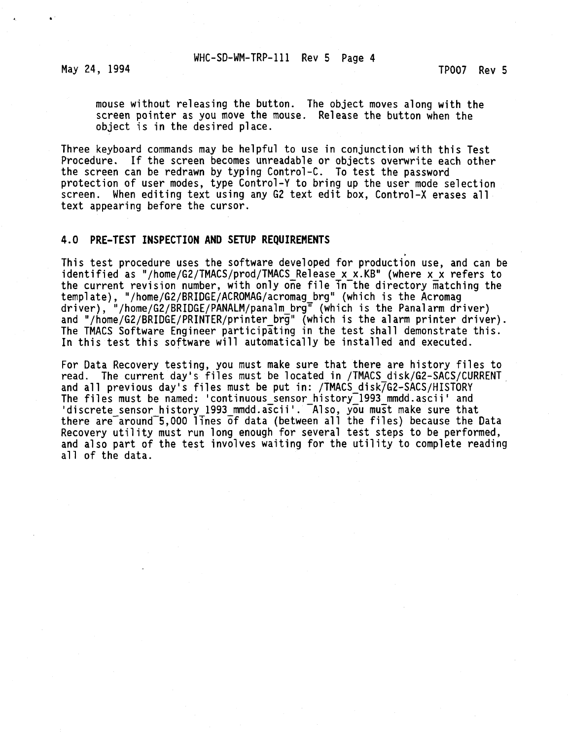May 24, 1994 **TP007** Rev 5

mouse without releasing the button. The object moves along with the screen pointer as you move the mouse. Release the button when the object is in the desired place.

Three keyboard commands may be helpful to use in conjunction with this Test Procedure. If the screen becomes unreadable or objects overwrite each other the screen can be redrawn by typing Control-C. To test the password protection of user modes, type Control-Y to bring up the user mode selection screen. When editing text using any G2 text edit box, Control-X erases all text appearing before the cursor.

#### **4.0 PRE-TEST INSPECTION AND SETUP REQUIREMENTS**

This test procedure uses the software developed for production use, and can be identified as "/home/G2/TMACS/prod/TMACS\_Release x\_x.KB" (where x\_x refers to the current revision number, with only one file in the directory matching the template), "/home/G2/BRIDGE/ACR0MAG/acromag\_brg" (which is the Acromag driver), "/home/G2/BRIDGE/PANALM/panalm\_brg" (which is the Panalarm driver) and "/home/G2/BRIDGE/PRINTER/printer brg" (which is the alarm printer driver). The TMACS Software Engineer participating in the test shall demonstrate this. In this test this software will automatically be installed and executed.

For Data Recovery testing, you must make sure that there are history files to read. The current day's files must be located in /TMACS\_disk/G2-SACS/CURRENT and all previous day's files must be put in: /TMACS\_disk/G2-SACS/HIST0RY The files must be named: 'continuous sensor history<sup>-1993</sup> mmdd.ascii' and discrete sensor history 1993\_mmdd.ascii'. Also, you must make sure that there are around 5,000 lines of data (between all the files) because the Data Recovery utility must run long enough for several test steps to be performed, and also part of the test involves waiting for the utility to complete reading all of the data.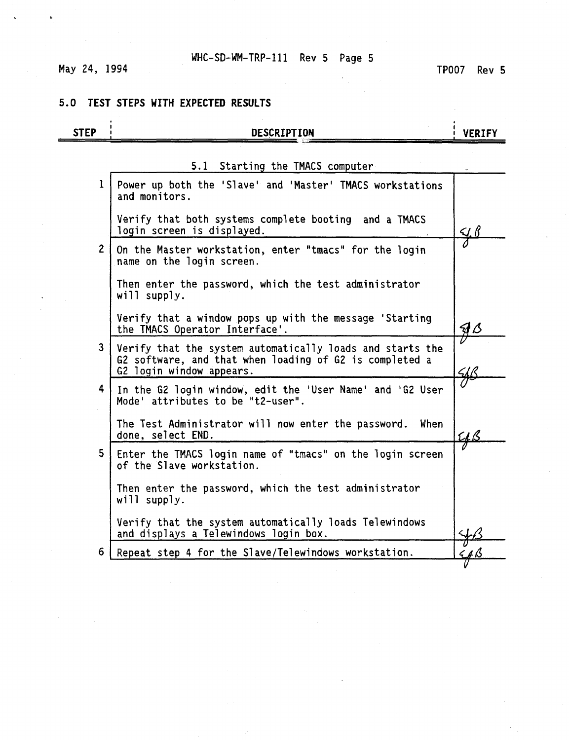# May 24, 1994

## **5.0 TEST STEPS WITH EXPECTED RESULTS**

| <b>STEP</b>    | <b>DESCRIPTION</b>                                                                                                                               | <b>VERIFY</b>             |
|----------------|--------------------------------------------------------------------------------------------------------------------------------------------------|---------------------------|
|                | 5.1 Starting the TMACS computer                                                                                                                  |                           |
| 1              | Power up both the 'Slave' and 'Master' TMACS workstations<br>and monitors.                                                                       |                           |
|                | Verify that both systems complete booting and a TMACS<br>login screen is displayed.                                                              | <u>Y.B</u>                |
| 2 <sup>1</sup> | On the Master workstation, enter "tmacs" for the login<br>name on the login screen.                                                              |                           |
|                | Then enter the password, which the test administrator<br>will supply.                                                                            |                           |
|                | Verify that a window pops up with the message 'Starting<br>the TMACS Operator Interface'.                                                        | $\mathcal{A} \mathcal{L}$ |
| 3              | Verify that the system automatically loads and starts the<br>G2 software, and that when loading of G2 is completed a<br>G2 login window appears. |                           |
| 4              | In the G2 login window, edit the 'User Name' and 'G2 User<br>Mode' attributes to be "t2-user".                                                   |                           |
|                | The Test Administrator will now enter the password.<br>When<br>done, select END.                                                                 | <u>LL B</u>               |
| 5              | Enter the TMACS login name of "tmacs" on the login screen<br>of the Slave workstation.                                                           |                           |
|                | Then enter the password, which the test administrator<br>will supply.                                                                            |                           |
|                | Verify that the system automatically loads Telewindows<br>and displays a Telewindows login box.                                                  |                           |
| 6              | Repeat step 4 for the Slave/Telewindows workstation.                                                                                             |                           |
|                |                                                                                                                                                  |                           |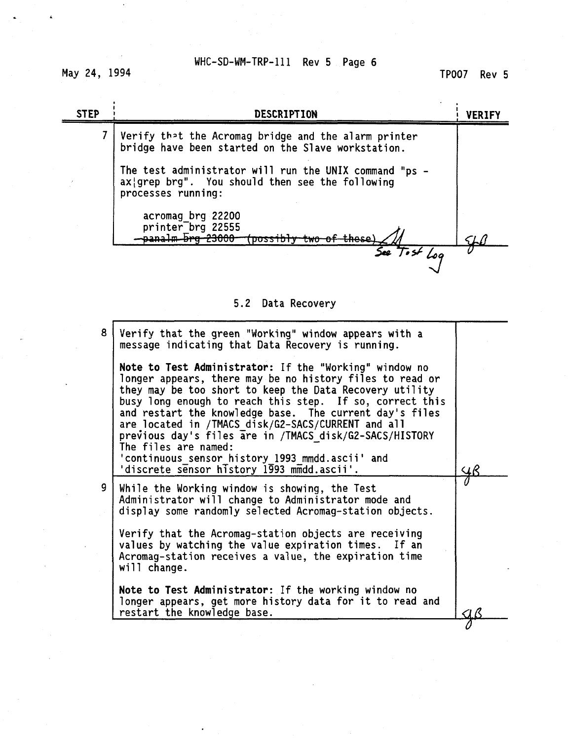May 24, 1994

 $\pmb{\zeta}$ 

TP007 Rev 5

| <b>STEP</b> | <b>DESCRIPTION</b>                                                                                                              | <b>VERIFY</b> |
|-------------|---------------------------------------------------------------------------------------------------------------------------------|---------------|
|             | Verify that the Acromag bridge and the alarm printer<br>bridge have been started on the Slave workstation.                      |               |
|             | The test administrator will run the UNIX command "ps -<br>ax grep brg". You should then see the following<br>processes running: |               |
|             | acromag brg 22200<br>printer brg 22555<br>panalm <del>brg 23000</del><br>`معمط±<br><b>DOSS</b>                                  |               |
|             | See Tost Log                                                                                                                    |               |

# 5.2 Data Recovery

| 8 | Verify that the green "Working" window appears with a<br>message indicating that Data Recovery is running.                                                                                                                                                                                                                                                                                                                                                                                                                                     |  |
|---|------------------------------------------------------------------------------------------------------------------------------------------------------------------------------------------------------------------------------------------------------------------------------------------------------------------------------------------------------------------------------------------------------------------------------------------------------------------------------------------------------------------------------------------------|--|
|   | Note to Test Administrator: If the "Working" window no<br>longer appears, there may be no history files to read or<br>they may be too short to keep the Data Recovery utility<br>busy long enough to reach this step. If so, correct this<br>and restart the knowledge base. The current day's files<br>are located in /TMACS disk/G2-SACS/CURRENT and all<br>previous day's files are in /TMACS disk/G2-SACS/HISTORY<br>The files are named:<br>'continuous sensor history 1993 mmdd.ascii' and<br>'discrete sensor history 1993 mmdd.ascii'. |  |
| 9 | While the Working window is showing, the Test<br>Administrator will change to Administrator mode and<br>display some randomly selected Acromag-station objects.                                                                                                                                                                                                                                                                                                                                                                                |  |
|   | Verify that the Acromag-station objects are receiving<br>values by watching the value expiration times. If an<br>Acromag-station receives a value, the expiration time<br>will change.                                                                                                                                                                                                                                                                                                                                                         |  |
|   | Note to Test Administrator: If the working window no<br>longer appears, get more history data for it to read and<br>restart the knowledge base.                                                                                                                                                                                                                                                                                                                                                                                                |  |
|   |                                                                                                                                                                                                                                                                                                                                                                                                                                                                                                                                                |  |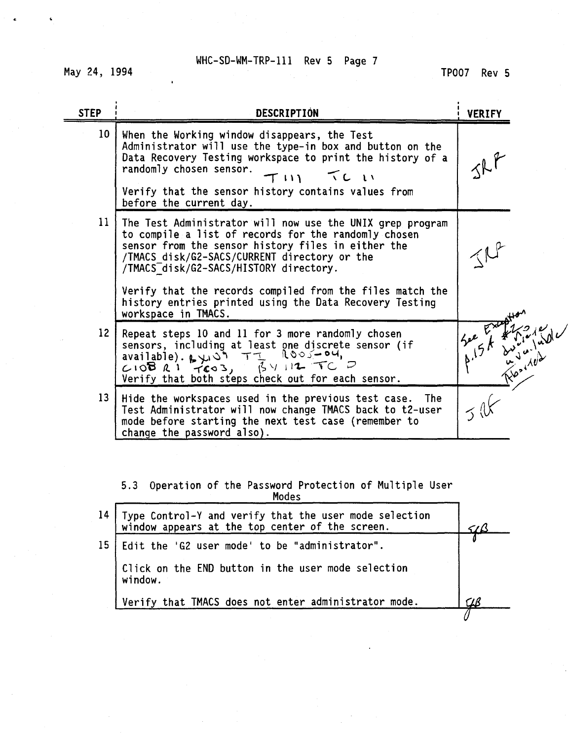May 24, 1994

| <b>STEP</b>       | <b>DESCRIPTION</b>                                                                                                                                                                                                                                                | <b>VERIFY</b> |
|-------------------|-------------------------------------------------------------------------------------------------------------------------------------------------------------------------------------------------------------------------------------------------------------------|---------------|
| 10 <sub>1</sub>   | When the Working window disappears, the Test<br>Administrator will use the type-in box and button on the<br>Data Recovery Testing workspace to print the history of a<br>randomly chosen sensor.<br>TLIN<br>$T$ $\cup$ $\cup$                                     |               |
|                   | Verify that the sensor history contains values from<br>before the current day.                                                                                                                                                                                    |               |
| 11                | The Test Administrator will now use the UNIX grep program<br>to compile a list of records for the randomly chosen<br>sensor from the sensor history files in either the<br>/TMACS disk/G2-SACS/CURRENT directory or the<br>/TMACS disk/G2-SACS/HISTORY directory. |               |
|                   | Verify that the records compiled from the files match the<br>history entries printed using the Data Recovery Testing<br>workspace in TMACS.                                                                                                                       |               |
| $12 \overline{ }$ | Repeat steps 10 and 11 for 3 more randomly chosen<br>sensors, including at least one discrete sensor (if<br>$1005 - 04$<br>available). 24.59 TI<br>$3412$ TC D<br>$C10B$ $R1$ $TCO3$ ,<br>Verify that both steps check out for each sensor.                       |               |
| 13                | Hide the workspaces used in the previous test case. The<br>Test Administrator will now change TMACS back to t2-user<br>mode before starting the next test case (remember to<br>change the password also).                                                         |               |
|                   |                                                                                                                                                                                                                                                                   |               |
|                   | 5.3 Operation of the Password Protection of Multiple User<br>Modes                                                                                                                                                                                                |               |
| 14 <sup>°</sup>   | Type Control-Y and verify that the user mode selection<br>window appears at the top center of the screen.                                                                                                                                                         |               |
| 15                | Edit the 'G2 user mode' to be "administrator".                                                                                                                                                                                                                    |               |
|                   | Click on the END button in the user mode selection<br>window.                                                                                                                                                                                                     |               |
|                   | Verify that TMACS does not enter administrator mode.                                                                                                                                                                                                              | UВ            |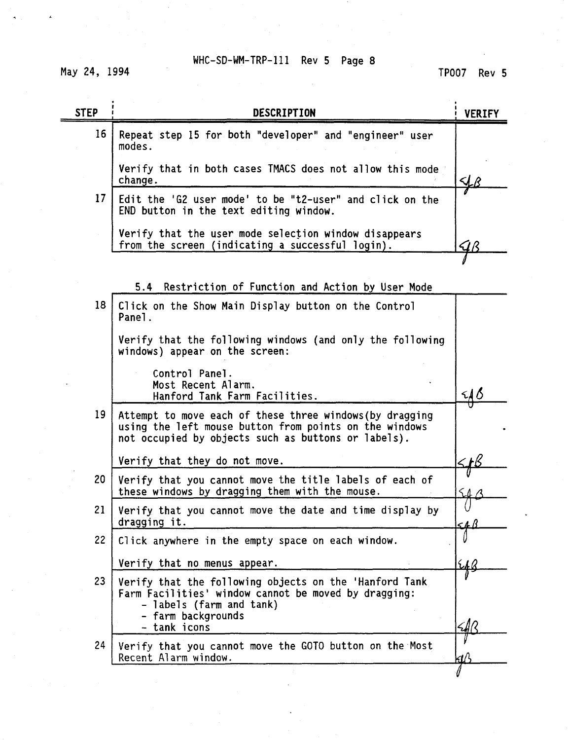May 24, 1994

# TP007 Rev 5

| <b>STEP</b> | DESCRIPTION                                                                                                                                                               | <b>VERIFY</b> |
|-------------|---------------------------------------------------------------------------------------------------------------------------------------------------------------------------|---------------|
| 16          | Repeat step 15 for both "developer" and "engineer" user<br>modes.                                                                                                         |               |
|             | Verify that in both cases TMACS does not allow this mode<br>change.                                                                                                       |               |
| 17          | Edit the 'G2 user mode' to be "t2-user" and click on the<br>END button in the text editing window.                                                                        |               |
|             | Verify that the user mode selection window disappears<br>from the screen (indicating a successful login).                                                                 | U (*          |
|             |                                                                                                                                                                           |               |
|             | 5.4<br>Restriction of Function and Action by User Mode                                                                                                                    |               |
| 18          | Click on the Show Main Display button on the Control<br>Panel.                                                                                                            |               |
|             | Verify that the following windows (and only the following<br>windows) appear on the screen:                                                                               |               |
|             | Control Panel.<br>Most Recent Alarm.<br>Hanford Tank Farm Facilities.                                                                                                     | <u> 48</u>    |
| 19          | Attempt to move each of these three windows (by dragging<br>using the left mouse button from points on the windows<br>not occupied by objects such as buttons or labels). |               |
|             | Verify that they do not move.                                                                                                                                             |               |
| 20          | Verify that you cannot move the title labels of each of<br>these windows by dragging them with the mouse.                                                                 |               |
| 21          | Verify that you cannot move the date and time display by<br>dragging it.                                                                                                  | 54B           |
| 22          | Click anywhere in the empty space on each window.                                                                                                                         |               |
|             | Verify that no menus appear.                                                                                                                                              | 616           |
| 23          | Verify that the following objects on the 'Hanford Tank<br>Farm Facilities' window cannot be moved by dragging:<br>- labels (farm and tank)                                |               |
|             | farm backgrounds<br>tank icons                                                                                                                                            | $\leq$ AR     |
| 24          | Verify that you cannot move the GOTO button on the Most<br>Recent Alarm window.                                                                                           |               |
|             |                                                                                                                                                                           |               |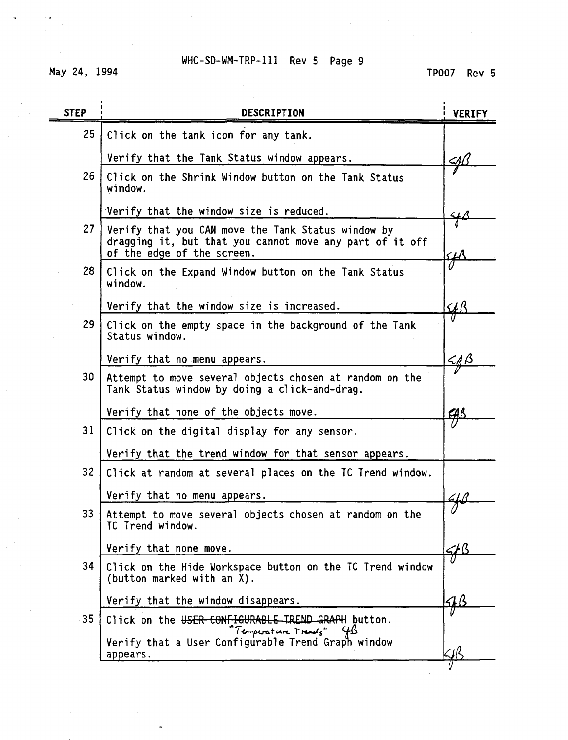May 24, 1994

| <b>STEP</b>     | DESCRIPTION                                                                                                                                  | <b>VERIFY</b> |
|-----------------|----------------------------------------------------------------------------------------------------------------------------------------------|---------------|
| 25              | Click on the tank icon for any tank.                                                                                                         |               |
|                 | Verify that the Tank Status window appears.                                                                                                  | ⊴∆            |
| 26              | Click on the Shrink Window button on the Tank Status<br>window.                                                                              |               |
|                 | Verify that the window size is reduced.                                                                                                      |               |
| 27              | Verify that you CAN move the Tank Status window by<br>dragging it, but that you cannot move any part of it off<br>of the edge of the screen. | ${\cal H}$    |
| 28              | Click on the Expand Window button on the Tank Status<br>window.                                                                              |               |
|                 | Verify that the window size is increased.                                                                                                    | <u> 4B</u>    |
| 29 <sup>1</sup> | Click on the empty space in the background of the Tank<br>Status window.                                                                     |               |
|                 | Verify that no menu appears.                                                                                                                 | <u>&lt;18</u> |
| 30              | Attempt to move several objects chosen at random on the<br>Tank Status window by doing a click-and-drag.                                     |               |
|                 | Verify that none of the objects move.                                                                                                        | <u>CAB</u>    |
| 31              | Click on the digital display for any sensor.                                                                                                 |               |
|                 | Verify that the trend window for that sensor appears.                                                                                        |               |
| 32              | Click at random at several places on the TC Trend window.                                                                                    |               |
|                 | Verify that no menu appears.                                                                                                                 |               |
| 33 <sup>2</sup> | Attempt to move several objects chosen at random on the<br>TC Trend window.                                                                  |               |
|                 | Verify that none move.                                                                                                                       |               |
| 34              | Click on the Hide Workspace button on the TC Trend window<br>(button marked with an X).                                                      |               |
|                 | Verify that the window disappears.                                                                                                           | SIB           |
| 35              | Click on the USER-CONFIGURABLE IREND GRAPH button.<br>"Temperature Trends"                                                                   |               |
|                 | Verify that a User Configurable Trend Graph window<br>appears.                                                                               |               |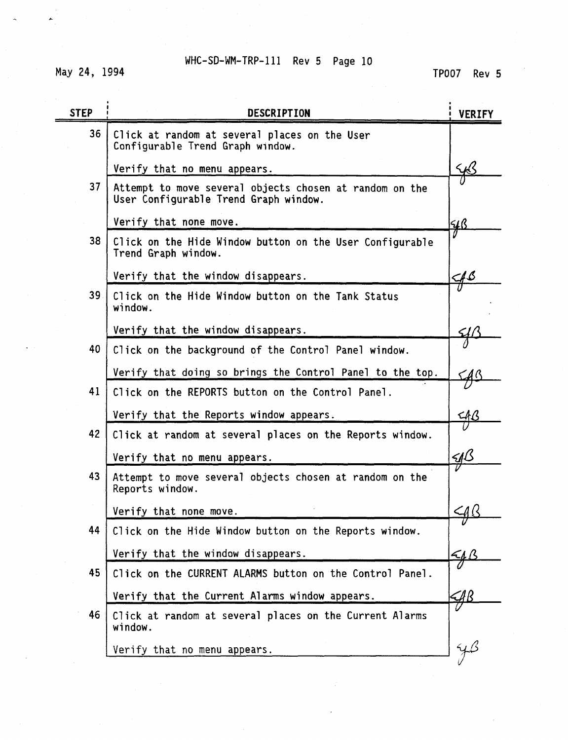May 24, 1994

| <b>STEP</b> | DESCRIPTION                                                                                      | <b>VERIFY</b>               |
|-------------|--------------------------------------------------------------------------------------------------|-----------------------------|
| 36          | Click at random at several places on the User<br>Configurable Trend Graph window.                |                             |
|             | Verify that no menu appears.                                                                     |                             |
| 37          | Attempt to move several objects chosen at random on the<br>User Configurable Trend Graph window. |                             |
|             | Verify that none move.                                                                           | <u>4ß</u>                   |
| 38          | Click on the Hide Window button on the User Configurable<br>Trend Graph window.                  |                             |
|             | Verify that the window disappears.                                                               | $\mathcal{A}\mathcal{B}$    |
| 39          | Click on the Hide Window button on the Tank Status<br>window.                                    |                             |
|             | Verify that the window disappears.                                                               |                             |
| 40          | Click on the background of the Control Panel window.                                             |                             |
|             | Verify that doing so brings the Control Panel to the top.                                        | $\mathcal{A}^{\prime}$      |
| 41          | Click on the REPORTS button on the Control Panel.                                                |                             |
|             | Verify that the Reports window appears.                                                          | <u>CA B</u>                 |
| 42          | Click at random at several places on the Reports window.                                         |                             |
|             | Verify that no menu appears.                                                                     | $\mathcal{A}^{\mathcal{B}}$ |
| 43          | Attempt to move several objects chosen at random on the<br>Reports window.                       |                             |
|             | Verify that none move.                                                                           | $\leq$ a $\in$              |
| 44          | Click on the Hide Window button on the Reports window.                                           | V                           |
|             | Verify that the window disappears.                                                               | 44                          |
| 45          | Click on the CURRENT ALARMS button on the Control Panel.                                         |                             |
|             | Verify that the Current Alarms window appears.                                                   | 4B                          |
| 46          | Click at random at several places on the Current Alarms<br>window.                               |                             |
|             | Verify that no menu appears.                                                                     |                             |
|             |                                                                                                  |                             |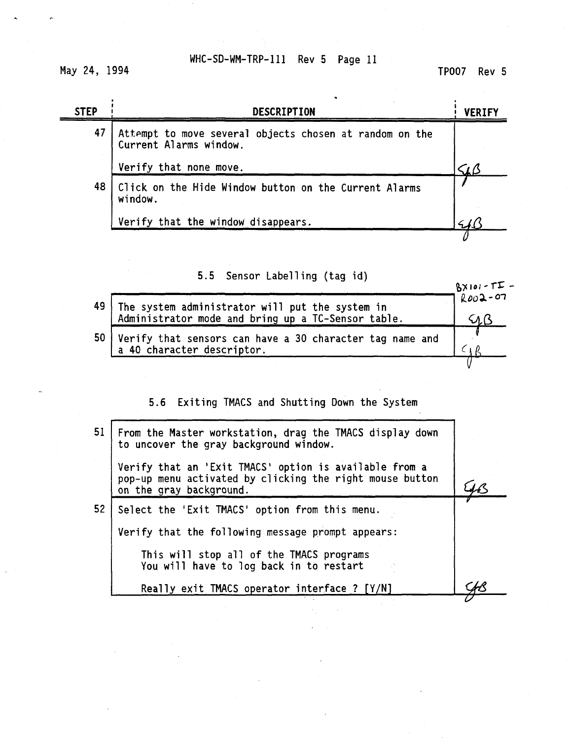May 24, 1994

TP007 Rev 5

| <b>STEP</b> | <b>DESCRIPTION</b>                                                                |                   |  |
|-------------|-----------------------------------------------------------------------------------|-------------------|--|
| 47          | Attempt to move several objects chosen at random on the<br>Current Alarms window. |                   |  |
|             | Verify that none move.                                                            | $\zeta_I\,\alpha$ |  |
| 48          | Click on the Hide Window button on the Current Alarms<br>window.                  |                   |  |
|             | Verify that the window disappears.                                                |                   |  |
|             |                                                                                   |                   |  |

5.5 Sensor Labelling (tag id)

|    |                                                                                                       | $B \times 101 - 1 = -$ |
|----|-------------------------------------------------------------------------------------------------------|------------------------|
| 49 |                                                                                                       | $7002 - 07$            |
|    | The system administrator will put the system in<br>Administrator mode and bring up a TC-Sensor table. |                        |
| 50 | Verify that sensors can have a 30 character tag name and                                              |                        |
|    | a 40 character descriptor.                                                                            |                        |
|    |                                                                                                       |                        |

5.6 Exiting TMACS and Shutting Down the System

| Verify that an 'Exit TMACS' option is available from a<br>pop-up menu activated by clicking the right mouse button<br>on the gray background. |  |
|-----------------------------------------------------------------------------------------------------------------------------------------------|--|
| Select the 'Exit TMACS' option from this menu.                                                                                                |  |
| Verify that the following message prompt appears:                                                                                             |  |
| This will stop all of the TMACS programs<br>You will have to log back in to restart                                                           |  |
| Really exit TMACS operator interface ? [Y/N]                                                                                                  |  |
|                                                                                                                                               |  |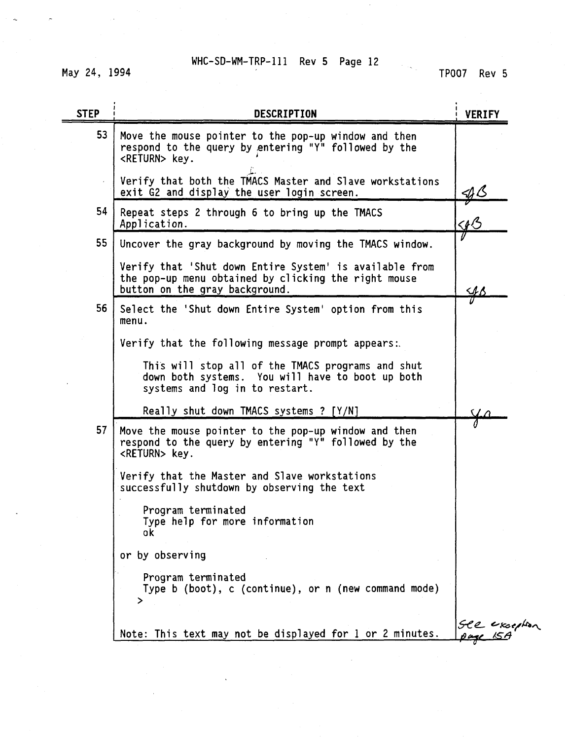May 24, 1994

TP007 Rev 5

| <b>STEP</b> | DESCRIPTION                                                                                                                                       | <b>VERIFY</b>     |
|-------------|---------------------------------------------------------------------------------------------------------------------------------------------------|-------------------|
| 53          | Move the mouse pointer to the pop-up window and then<br>respond to the query by entering "Y" followed by the<br><return> key.</return>            |                   |
| $\epsilon$  | Verify that both the TMACS Master and Slave workstations<br>exit G2 and display the user login screen.                                            | $\n  4$           |
| 54          | Repeat steps 2 through 6 to bring up the TMACS<br>Application.                                                                                    | $\triangleleft$ B |
| 55          | Uncover the gray background by moving the TMACS window.                                                                                           |                   |
|             | Verify that 'Shut down Entire System' is available from<br>the pop-up menu obtained by clicking the right mouse<br>button on the gray background. | ЧB                |
| 56          | Select the 'Shut down Entire System' option from this<br>menu.                                                                                    |                   |
|             | Verify that the following message prompt appears:                                                                                                 |                   |
|             | This will stop all of the TMACS programs and shut<br>down both systems. You will have to boot up both<br>systems and log in to restart.           |                   |
|             | Really shut down TMACS systems ? [Y/N]                                                                                                            |                   |
| 57          | Move the mouse pointer to the pop-up window and then<br>respond to the query by entering "Y" followed by the<br><return> key.</return>            |                   |
|             | Verify that the Master and Slave workstations<br>successfully shutdown by observing the text                                                      |                   |
|             | Program terminated<br>Type help for more information<br>ok                                                                                        |                   |
|             | or by observing                                                                                                                                   |                   |
|             | Program terminated<br>Type b (boot), c (continue), or n (new command mode)                                                                        |                   |
|             | Note: This text may not be displayed for 1 or 2 minutes.                                                                                          | SCR exception     |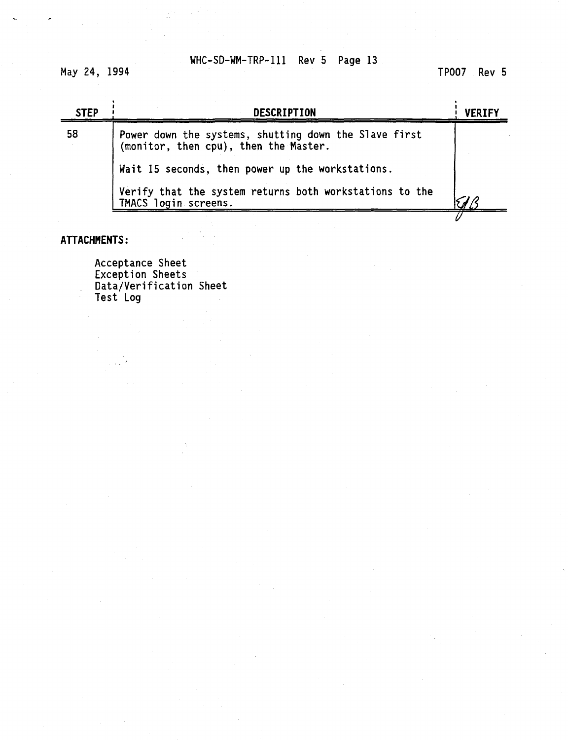May 24, 1994

TP007 Rev 5

| <b>STEP</b> | <b>DESCRIPTION</b>                                                                             | <b>VERIFY</b> |
|-------------|------------------------------------------------------------------------------------------------|---------------|
| 58          | Power down the systems, shutting down the Slave first<br>(monitor, then cpu), then the Master. |               |
|             | Wait 15 seconds, then power up the workstations.                                               |               |
|             | Verify that the system returns both workstations to the<br>TMACS login screens.                |               |
|             |                                                                                                |               |

## **ATTACHMENTS:**

Acceptance Sheet Exception Sheets Data/Verification Sheet Test Log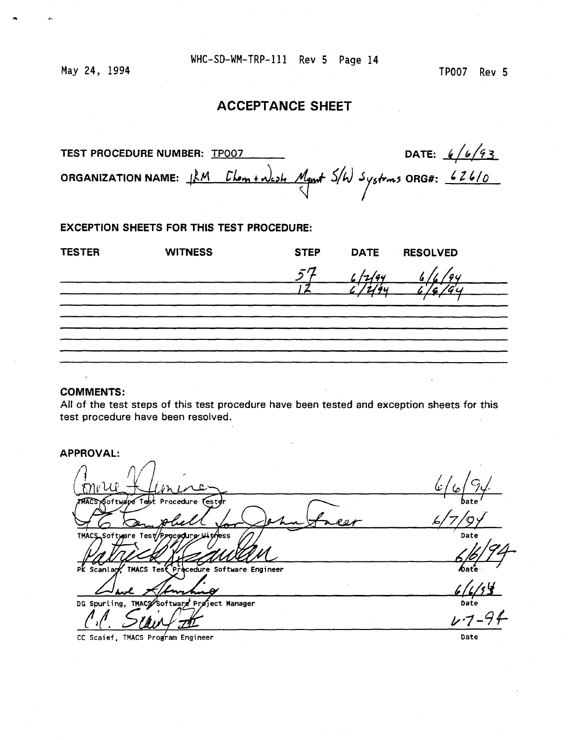May 24, 1994

TP007 Rev 5

# **ACCEPTANCE SHEET**

| TEST PROCEDURE NUMBER: TP007 |                                                                            | DATE: $6/6/93$ |
|------------------------------|----------------------------------------------------------------------------|----------------|
|                              | ORGANIZATION NAME: $\mu M$ Clom + west Mant $5/\omega$ Systems ORG#: 626/0 |                |

EXCEPTION SHEETS FOR THIS TEST PROCEDURE:

| <b>TESTER</b> | <b>WITNESS</b> | <b>STEP</b> | <b>DATE</b> | <b>RESOLVED</b> |  |
|---------------|----------------|-------------|-------------|-----------------|--|
|               |                | 57          | 6/2/94      |                 |  |
|               |                |             |             | $\frac{1}{6}$   |  |
|               |                |             |             |                 |  |
|               |                |             |             |                 |  |
|               |                |             |             |                 |  |
|               |                |             |             |                 |  |
|               |                |             |             |                 |  |

### COMMENTS:

All of the test steps of this test procedure have been tested and exception sheets for this test procedure have been resolved.

APPROVAL: TMACS Software Test/P Date PK Scanlar edure Software Engineer **TMACS** Te: DG Spurling, TMACS Software Preject Manager  $4.7 - 9.5$ 

**CC Scaief, TMACS Program Engineer Date**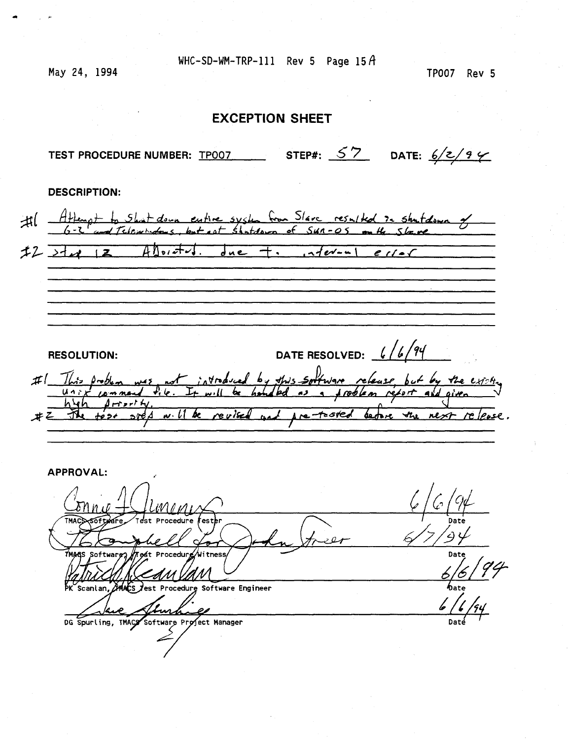May 24, 1994

### **EXCEPTION SHEET**

TEST PROCEDURE NUMBER: <u>TP007</u> STEP#:  $57$  DATE:  $6/z/9$   $\swarrow$ 

**DESCRIPTION:** 

*fflengt* to Shut down entire system from Slave resulted to strut down of<br>6-2 and Telemindons, but not stutdown of SUA-05 on the Slave *-fL >A^ \z.* flbt/\*M. J«e~ *-f\** ,^<v.^\ *e f/~r*  **RESOLUTION:** DATE RESOLVED:  $\frac{6}{\cancel{94}}$ 

1. Will be revised and pre-tosted before the next release. *Jc^.* 

**APPROVAL: ' Date £^/V ^—^L-^H\_^- Date**  Scanlan, **AMACS** Jest Procedure Software Engineer Imhale **/ / /**  DG Spurling, TMACY Software Project Manager

TP007 Rev 5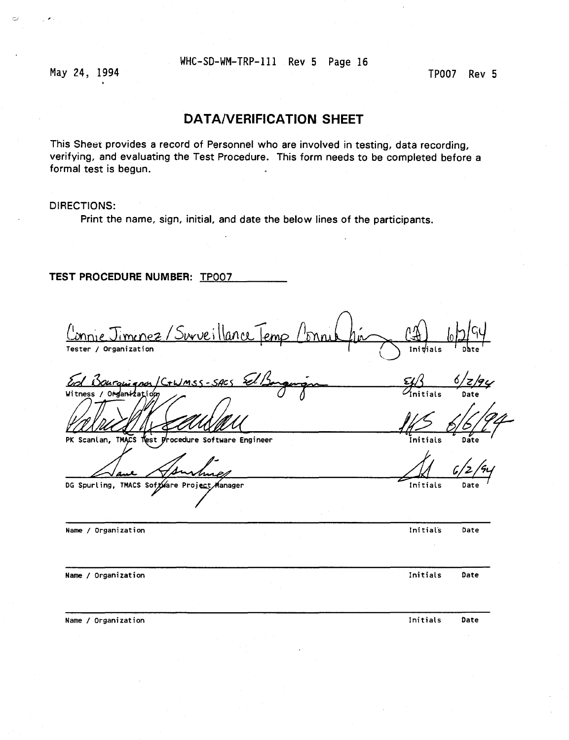May 24, 1994 **TP007** Rev 5

 $\leftarrow$ 

### **DATA/VERIFICATION SHEET**

This Sheet provides a record of Personnel who are involved in testing, data recording, verifying, and evaluating the Test Procedure. This form needs to be completed before a formal test is begun.

#### DIRECTIONS:

Print the name, sign, initial, and date the below lines of the participants.

### **TEST PROCEDURE NUMBER:** TP007

 $mrlP2$ ۱٬۱۸۰۱ **Tester / Organization 1 1 | Initials Date in the Linux** Date of Date **I** Initials *<sup>6</sup>J z JfY*  مامير  $\mathcal{H}^{\prime\prime}$ **Witness / O**  $\frac{1}{2}$  *O*  $\frac{1}{2}$  *Mittials* Date **PK Scanlan, TM^CS T^st yrocedure Software Engineer Initials Date**  DG Spurling, TMACS Software Project Manager **Name / Organization Initial's Date** 

**Name / Organization Initials Date** 

**Name / Organization Initials** Date